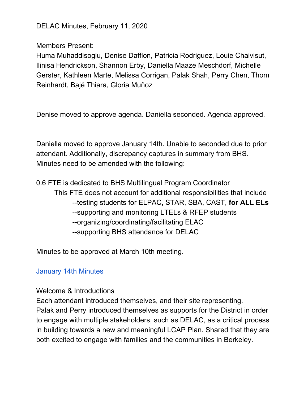DELAC Minutes, February 11, 2020

Members Present:

Huma Muhaddisoglu, Denise Dafflon, Patricia Rodriguez, Louie Chaivisut, Ilinisa Hendrickson, Shannon Erby, Daniella Maaze Meschdorf, Michelle Gerster, Kathleen Marte, Melissa Corrigan, Palak Shah, Perry Chen, Thom Reinhardt, Bajé Thiara, Gloria Muñoz

Denise moved to approve agenda. Daniella seconded. Agenda approved.

Daniella moved to approve January 14th. Unable to seconded due to prior attendant. Additionally, discrepancy captures in summary from BHS. Minutes need to be amended with the following:

0.6 FTE is dedicated to BHS Multilingual Program Coordinator This FTE does not account for additional responsibilities that include --testing students for ELPAC, STAR, SBA, CAST, **for ALL ELs** --supporting and monitoring LTELs & RFEP students --organizing/coordinating/facilitating ELAC --supporting BHS attendance for DELAC

Minutes to be approved at March 10th meeting.

[January](https://docs.google.com/document/d/1ZNHWU_HZ8d6qeWIktDC93DMQnCDGPuyFyyIqUCEsgRQ/edit?usp=sharing) 14th Minutes

#### Welcome & Introductions

Each attendant introduced themselves, and their site representing. Palak and Perry introduced themselves as supports for the District in order to engage with multiple stakeholders, such as DELAC, as a critical process in building towards a new and meaningful LCAP Plan. Shared that they are both excited to engage with families and the communities in Berkeley.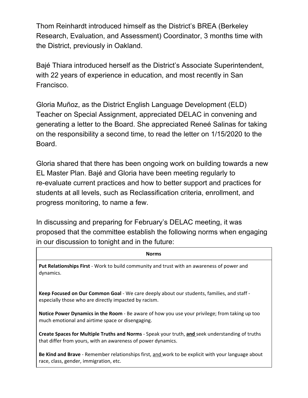Thom Reinhardt introduced himself as the District's BREA (Berkeley Research, Evaluation, and Assessment) Coordinator, 3 months time with the District, previously in Oakland.

Bajé Thiara introduced herself as the District's Associate Superintendent, with 22 years of experience in education, and most recently in San Francisco.

Gloria Muñoz, as the District English Language Development (ELD) Teacher on Special Assignment, appreciated DELAC in convening and generating a letter to the Board. She appreciated Reneé Salinas for taking on the responsibility a second time, to read the letter on 1/15/2020 to the Board.

Gloria shared that there has been ongoing work on building towards a new EL Master Plan. Bajé and Gloria have been meeting regularly to re-evaluate current practices and how to better support and practices for students at all levels, such as Reclassification criteria, enrollment, and progress monitoring, to name a few.

In discussing and preparing for February's DELAC meeting, it was proposed that the committee establish the following norms when engaging in our discussion to tonight and in the future:

#### Norms

Put Relationships First - Work to build community and trust with an awareness of power and dynamics.

Keep Focused on Our Common Goal - We care deeply about our students, families, and staff especially those who are directly impacted by racism.

Notice Power Dynamics in the Room - Be aware of how you use your privilege; from taking up too much emotional and airtime space or disengaging.

Create Spaces for Multiple Truths and Norms - Speak your truth, and seek understanding of truths that differ from yours, with an awareness of power dynamics.

Be Kind and Brave - Remember relationships first, and work to be explicit with your language about race, class, gender, immigration, etc.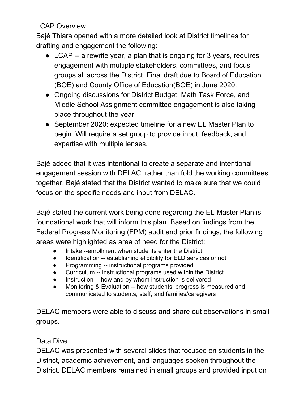## LCAP Overview

Bajé Thiara opened with a more detailed look at District timelines for drafting and engagement the following:

- LCAP -- a rewrite year, a plan that is ongoing for 3 years, requires engagement with multiple stakeholders, committees, and focus groups all across the District. Final draft due to Board of Education (BOE) and County Office of Education(BOE) in June 2020.
- Ongoing discussions for District Budget, Math Task Force, and Middle School Assignment committee engagement is also taking place throughout the year
- September 2020: expected timeline for a new EL Master Plan to begin. Will require a set group to provide input, feedback, and expertise with multiple lenses.

Bajé added that it was intentional to create a separate and intentional engagement session with DELAC, rather than fold the working committees together. Bajé stated that the District wanted to make sure that we could focus on the specific needs and input from DELAC.

Bajé stated the current work being done regarding the EL Master Plan is foundational work that will inform this plan. Based on findings from the Federal Progress Monitoring (FPM) audit and prior findings, the following areas were highlighted as area of need for the District:

- Intake --enrollment when students enter the District
- Identification -- establishing eligibility for ELD services or not
- Programming -- instructional programs provided
- Curriculum -- instructional programs used within the District
- Instruction -- how and by whom instruction is delivered
- Monitoring & Evaluation -- how students' progress is measured and communicated to students, staff, and families/caregivers

DELAC members were able to discuss and share out observations in small groups.

## Data Dive

DELAC was presented with several slides that focused on students in the District, academic achievement, and languages spoken throughout the District. DELAC members remained in small groups and provided input on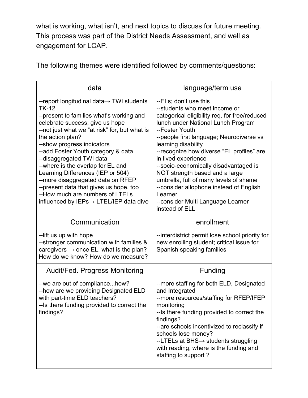what is working, what isn't, and next topics to discuss for future meeting. This process was part of the District Needs Assessment, and well as engagement for LCAP.

data and anguage/term use --report longitudinal data→ TWI students TK-12 --present to families what's working and celebrate success; give us hope --not just what we "at risk" for, but what is the action plan? --show progress indicators --add Foster Youth category & data --disaggregated TWI data --where is the overlap for EL and Learning Differences (IEP or 504) --more disaggregated data on RFEP --present data that gives us hope, too --How much are numbers of LTELs influenced by IEPs→ LTEL/IEP data dive --ELs; don't use this --students who meet income or categorical eligibility req. for free/reduced lunch under National Lunch Program --Foster Youth --people first language; Neurodiverse vs learning disability --recognize how diverse "EL profiles" are in lived experience --socio-economically disadvantaged is NOT strength based and a large umbrella, full of many levels of shame --consider allophone instead of English Learner --consider Multi Language Learner instead of ELL Communication and the enrollment --lift us up with hope --stronger communication with families & caregivers  $\rightarrow$  once EL, what is the plan? How do we know? How do we measure? --interdistrict permit lose school priority for new enrolling student; critical issue for Spanish speaking families Audit/Fed. Progress Monitoring | Funding --we are out of compliance...how? --how are we providing Designated ELD with part-time ELD teachers? --Is there funding provided to correct the findings? --more staffing for both ELD, Designated and Integrated --more resources/staffing for RFEP/IFEP monitoring --Is there funding provided to correct the findings? --are schools incentivized to reclassify if schools lose money? --LTELs at BHS→ students struggling with reading, where is the funding and staffing to support ?

The following themes were identified followed by comments/questions: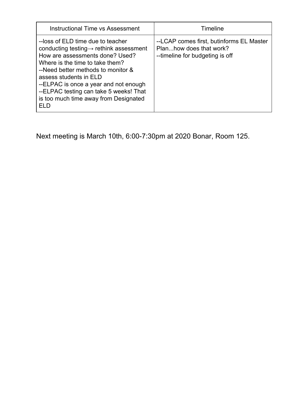| <b>Instructional Time vs Assessment</b>                                                                                                                                                                                                                                                                                                                            | <b>Timeline</b>                                                                                        |
|--------------------------------------------------------------------------------------------------------------------------------------------------------------------------------------------------------------------------------------------------------------------------------------------------------------------------------------------------------------------|--------------------------------------------------------------------------------------------------------|
| --loss of ELD time due to teacher<br>conducting testing $\rightarrow$ rethink assessment<br>How are assessments done? Used?<br>Where is the time to take them?<br>--Need better methods to monitor &<br>assess students in ELD<br>--ELPAC is once a year and not enough<br>--ELPAC testing can take 5 weeks! That<br>is too much time away from Designated<br>EL D | --LCAP comes first, butinforms EL Master<br>Planhow does that work?<br>--timeline for budgeting is off |

Next meeting is March 10th, 6:00-7:30pm at 2020 Bonar, Room 125.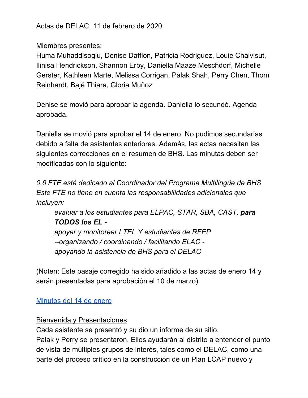Actas de DELAC, 11 de febrero de 2020

Miembros presentes:

Huma Muhaddisoglu, Denise Dafflon, Patricia Rodriguez, Louie Chaivisut, Ilinisa Hendrickson, Shannon Erby, Daniella Maaze Meschdorf, Michelle Gerster, Kathleen Marte, Melissa Corrigan, Palak Shah, Perry Chen, Thom Reinhardt, Bajé Thiara, Gloria Muñoz

Denise se movió para aprobar la agenda. Daniella lo secundó. Agenda aprobada.

Daniella se movió para aprobar el 14 de enero. No pudimos secundarlas debido a falta de asistentes anteriores. Además, las actas necesitan las siguientes correcciones en el resumen de BHS. Las minutas deben ser modificadas con lo siguiente:

*0.6 FTE está dedicado al Coordinador del Programa Multilingüe de BHS Este FTE no tiene en cuenta las responsabilidades adicionales que incluyen:*

*evaluar a los estudiantes para ELPAC, STAR, SBA, CAST, para TODOS los EL -*

*apoyar y monitorear LTEL Y estudiantes de RFEP --organizando / coordinando / facilitando ELAC apoyando la asistencia de BHS para el DELAC*

(Noten: Este pasaje corregido ha sido añadido a las actas de enero 14 y serán presentadas para aprobación el 10 de marzo).

#### [Minutos](https://docs.google.com/document/d/1ZNHWU_HZ8d6qeWIktDC93DMQnCDGPuyFyyIqUCEsgRQ/edit?usp=sharing) del 14 de enero

#### Bienvenida y Presentaciones

Cada asistente se presentó y su dio un informe de su sitio. Palak y Perry se presentaron. Ellos ayudarán al distrito a entender el punto de vista de múltiples grupos de interés, tales como el DELAC, como una parte del proceso crítico en la construcción de un Plan LCAP nuevo y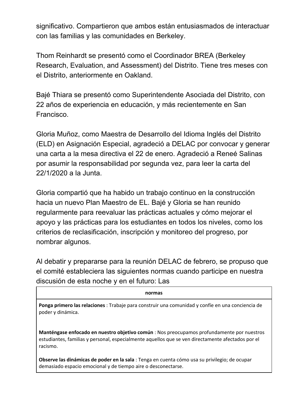significativo. Compartieron que ambos están entusiasmados de interactuar con las familias y las comunidades en Berkeley.

Thom Reinhardt se presentó como el Coordinador BREA (Berkeley Research, Evaluation, and Assessment) del Distrito. Tiene tres meses con el Distrito, anteriormente en Oakland.

Bajé Thiara se presentó como Superintendente Asociada del Distrito, con 22 años de experiencia en educación, y más recientemente en San Francisco.

Gloria Muñoz, como Maestra de Desarrollo del Idioma Inglés del Distrito (ELD) en Asignación Especial, agradeció a DELAC por convocar y generar una carta a la mesa directiva el 22 de enero. Agradeció a Reneé Salinas por asumir la responsabilidad por segunda vez, para leer la carta del 22/1/2020 a la Junta.

Gloria compartió que ha habido un trabajo continuo en la construcción hacia un nuevo Plan Maestro de EL. Bajé y Gloria se han reunido regularmente para reevaluar las prácticas actuales y cómo mejorar el apoyo y las prácticas para los estudiantes en todos los niveles, como los criterios de reclasificación, inscripción y monitoreo del progreso, por nombrar algunos.

Al debatir y prepararse para la reunión DELAC de febrero, se propuso que el comité estableciera las siguientes normas cuando participe en nuestra discusión de esta noche y en el futuro: Las

| normas                                                                                                                                                                                                      |  |
|-------------------------------------------------------------------------------------------------------------------------------------------------------------------------------------------------------------|--|
| Ponga primero las relaciones : Trabaje para construir una comunidad y confíe en una conciencia de<br>poder y dinámica.                                                                                      |  |
| Manténgase enfocado en nuestro objetivo común : Nos preocupamos profundamente por nuestros<br>estudiantes, familias y personal, especialmente aquellos que se ven directamente afectados por el<br>racismo. |  |
| Observe las dinámicas de poder en la sala : Tenga en cuenta cómo usa su privilegio; de ocupar<br>demasiado espacio emocional y de tiempo aire o desconectarse.                                              |  |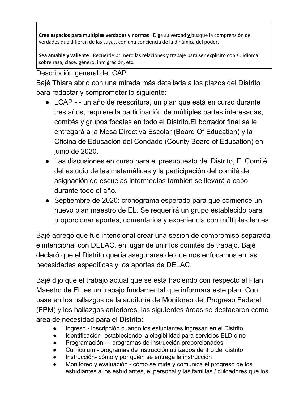Cree espacios para múltiples verdades y normas : Diga su verdad  $\underline{v}$  busque la comprensión de verdades que difieran de las suyas, con una conciencia de la dinámica del poder.

Sea amable y valiente : Recuerde primero las relaciones y trabaje para ser explícito con su idioma sobre raza, clase, género, inmigración, etc.

# Descripción general deLCAP

Bajé Thiara abrió con una mirada más detallada a los plazos del Distrito para redactar y comprometer lo siguiente:

- LCAP - un año de reescritura, un plan que está en curso durante tres años, requiere la participación de múltiples partes interesadas, comités y grupos focales en todo el Distrito.El borrador final se le entregará a la Mesa Directiva Escolar (Board Of Education) y la Oficina de Educación del Condado (County Board of Education) en junio de 2020.
- Las discusiones en curso para el presupuesto del Distrito, El Comité del estudio de las matemáticas y la participación del comité de asignación de escuelas intermedias también se llevará a cabo durante todo el año.
- Septiembre de 2020: cronograma esperado para que comience un nuevo plan maestro de EL. Se requerirá un grupo establecido para proporcionar aportes, comentarios y experiencia con múltiples lentes.

Bajé agregó que fue intencional crear una sesión de compromiso separada e intencional con DELAC, en lugar de unir los comités de trabajo. Bajé declaró que el Distrito quería asegurarse de que nos enfocamos en las necesidades específicas y los aportes de DELAC.

Bajé dijo que el trabajo actual que se está haciendo con respecto al Plan Maestro de EL es un trabajo fundamental que informará este plan. Con base en los hallazgos de la auditoría de Monitoreo del Progreso Federal (FPM) y los hallazgos anteriores, las siguientes áreas se destacaron como área de necesidad para el Distrito:

- Ingreso inscripción cuando los estudiantes ingresan en el Distrito
- Identificación- estableciendo la elegibilidad para servicios ELD o no
- Programación - programas de instrucción proporcionados
- Currículum programas de instrucción utilizados dentro del distrito
- Instrucción- cómo y por quién se entrega la instrucción
- Monitoreo y evaluación cómo se mide y comunica el progreso de los estudiantes a los estudiantes, el personal y las familias / cuidadores que los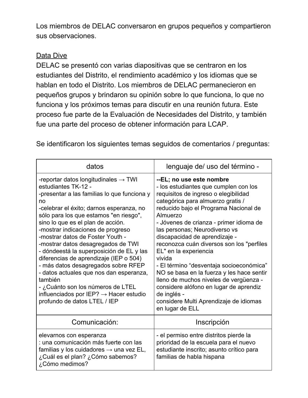Los miembros de DELAC conversaron en grupos pequeños y compartieron sus observaciones.

### Data Dive

DELAC se presentó con varias diapositivas que se centraron en los estudiantes del Distrito, el rendimiento académico y los idiomas que se hablan en todo el Distrito. Los miembros de DELAC permanecieron en pequeños grupos y brindaron su opinión sobre lo que funciona, lo que no funciona y los próximos temas para discutir en una reunión futura. Este proceso fue parte de la Evaluación de Necesidades del Distrito, y también fue una parte del proceso de obtener información para LCAP.

Se identificaron los siguientes temas seguidos de comentarios / preguntas:

| datos                                                                                                                                                                                                                                                                                                                                                                                                                                                                                                                                                                                                                                                                                | lenguaje de/ uso del término -                                                                                                                                                                                                                                                                                                                                                                                                                                                                                                                                                                                                                            |
|--------------------------------------------------------------------------------------------------------------------------------------------------------------------------------------------------------------------------------------------------------------------------------------------------------------------------------------------------------------------------------------------------------------------------------------------------------------------------------------------------------------------------------------------------------------------------------------------------------------------------------------------------------------------------------------|-----------------------------------------------------------------------------------------------------------------------------------------------------------------------------------------------------------------------------------------------------------------------------------------------------------------------------------------------------------------------------------------------------------------------------------------------------------------------------------------------------------------------------------------------------------------------------------------------------------------------------------------------------------|
| -reportar datos longitudinales $\rightarrow$ TWI<br>estudiantes TK-12 -<br>-presentar a las familias lo que funciona y<br>no<br>-celebrar el éxito; darnos esperanza, no<br>sólo para los que estamos "en riesgo",<br>sino lo que es el plan de acción.<br>-mostrar indicaciones de progreso<br>-mostrar datos de Foster Youth -<br>-mostrar datos desagregados de TWI<br>- dóndeestá la superposición de EL y las<br>diferencias de aprendizaje (IEP o 504)<br>- más datos desagregados sobre RFEP<br>- datos actuales que nos dan esperanza,<br>también<br>- ¿Cuánto son los números de LTEL<br>influenciados por IEP? $\rightarrow$ Hacer estudio<br>profundo de datos LTEL / IEP | --EL; no use este nombre<br>- los estudiantes que cumplen con los<br>requisitos de ingreso o elegibilidad<br>categórica para almuerzo gratis /<br>reducido bajo el Programa Nacional de<br>Almuerzo<br>- Jóvenes de crianza - primer idioma de<br>las personas; Neurodiverso vs<br>discapacidad de aprendizaje -<br>reconozca cuán diversos son los "perfiles<br>EL" en la experiencia<br>vivida<br>- El término "desventaja socioeconómica"<br>NO se basa en la fuerza y les hace sentir<br>lleno de muchos niveles de vergüenza -<br>considere alófono en lugar de aprendiz<br>de inglés -<br>considere Multi Aprendizaje de idiomas<br>en lugar de ELL |
| Comunicación:                                                                                                                                                                                                                                                                                                                                                                                                                                                                                                                                                                                                                                                                        | Inscripción                                                                                                                                                                                                                                                                                                                                                                                                                                                                                                                                                                                                                                               |
| elevarnos con esperanza<br>: una comunicación más fuerte con las<br>familias y los cuidadores $\rightarrow$ una vez EL,<br>¿Cuál es el plan? ¿Cómo sabemos?<br>¿Cómo medimos?                                                                                                                                                                                                                                                                                                                                                                                                                                                                                                        | - el permiso entre distritos pierde la<br>prioridad de la escuela para el nuevo<br>estudiante inscrito; asunto crítico para<br>familias de habla hispana                                                                                                                                                                                                                                                                                                                                                                                                                                                                                                  |